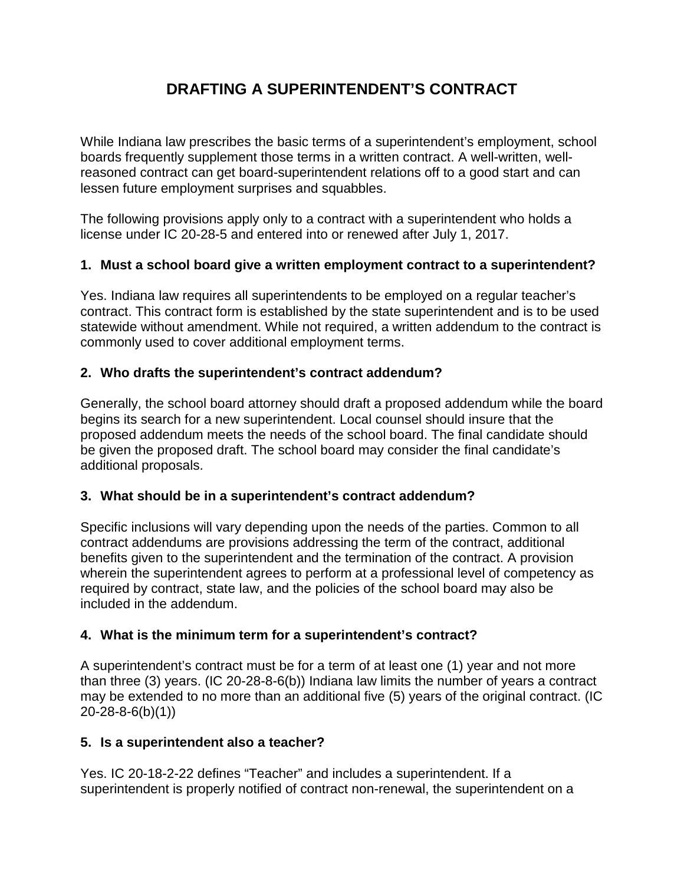# **DRAFTING A SUPERINTENDENT'S CONTRACT**

While Indiana law prescribes the basic terms of a superintendent's employment, school boards frequently supplement those terms in a written contract. A well-written, wellreasoned contract can get board-superintendent relations off to a good start and can lessen future employment surprises and squabbles.

The following provisions apply only to a contract with a superintendent who holds a license under IC 20-28-5 and entered into or renewed after July 1, 2017.

# **1. Must a school board give a written employment contract to a superintendent?**

Yes. Indiana law requires all superintendents to be employed on a regular teacher's contract. This contract form is established by the state superintendent and is to be used statewide without amendment. While not required, a written addendum to the contract is commonly used to cover additional employment terms.

# **2. Who drafts the superintendent's contract addendum?**

Generally, the school board attorney should draft a proposed addendum while the board begins its search for a new superintendent. Local counsel should insure that the proposed addendum meets the needs of the school board. The final candidate should be given the proposed draft. The school board may consider the final candidate's additional proposals.

# **3. What should be in a superintendent's contract addendum?**

Specific inclusions will vary depending upon the needs of the parties. Common to all contract addendums are provisions addressing the term of the contract, additional benefits given to the superintendent and the termination of the contract. A provision wherein the superintendent agrees to perform at a professional level of competency as required by contract, state law, and the policies of the school board may also be included in the addendum.

# **4. What is the minimum term for a superintendent's contract?**

A superintendent's contract must be for a term of at least one (1) year and not more than three (3) years. (IC 20-28-8-6(b)) Indiana law limits the number of years a contract may be extended to no more than an additional five (5) years of the original contract. (IC 20-28-8-6(b)(1))

# **5. Is a superintendent also a teacher?**

Yes. IC 20-18-2-22 defines "Teacher" and includes a superintendent. If a superintendent is properly notified of contract non-renewal, the superintendent on a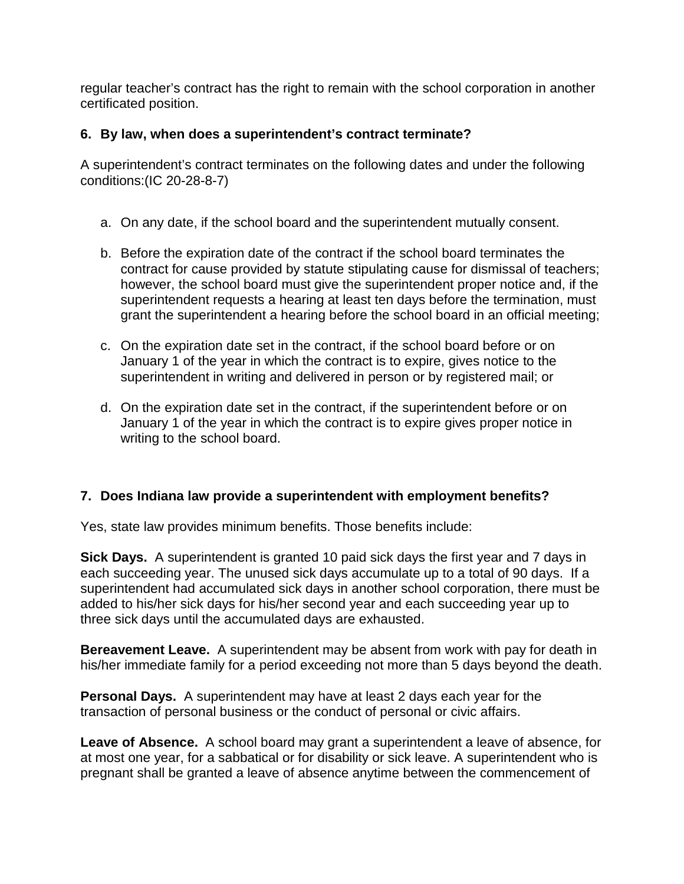regular teacher's contract has the right to remain with the school corporation in another certificated position.

# **6. By law, when does a superintendent's contract terminate?**

A superintendent's contract terminates on the following dates and under the following conditions:(IC 20-28-8-7)

- a. On any date, if the school board and the superintendent mutually consent.
- b. Before the expiration date of the contract if the school board terminates the contract for cause provided by statute stipulating cause for dismissal of teachers; however, the school board must give the superintendent proper notice and, if the superintendent requests a hearing at least ten days before the termination, must grant the superintendent a hearing before the school board in an official meeting;
- c. On the expiration date set in the contract, if the school board before or on January 1 of the year in which the contract is to expire, gives notice to the superintendent in writing and delivered in person or by registered mail; or
- d. On the expiration date set in the contract, if the superintendent before or on January 1 of the year in which the contract is to expire gives proper notice in writing to the school board.

# **7. Does Indiana law provide a superintendent with employment benefits?**

Yes, state law provides minimum benefits. Those benefits include:

**Sick Days.** A superintendent is granted 10 paid sick days the first year and 7 days in each succeeding year. The unused sick days accumulate up to a total of 90 days. If a superintendent had accumulated sick days in another school corporation, there must be added to his/her sick days for his/her second year and each succeeding year up to three sick days until the accumulated days are exhausted.

**Bereavement Leave.** A superintendent may be absent from work with pay for death in his/her immediate family for a period exceeding not more than 5 days beyond the death.

**Personal Days.** A superintendent may have at least 2 days each year for the transaction of personal business or the conduct of personal or civic affairs.

**Leave of Absence.** A school board may grant a superintendent a leave of absence, for at most one year, for a sabbatical or for disability or sick leave. A superintendent who is pregnant shall be granted a leave of absence anytime between the commencement of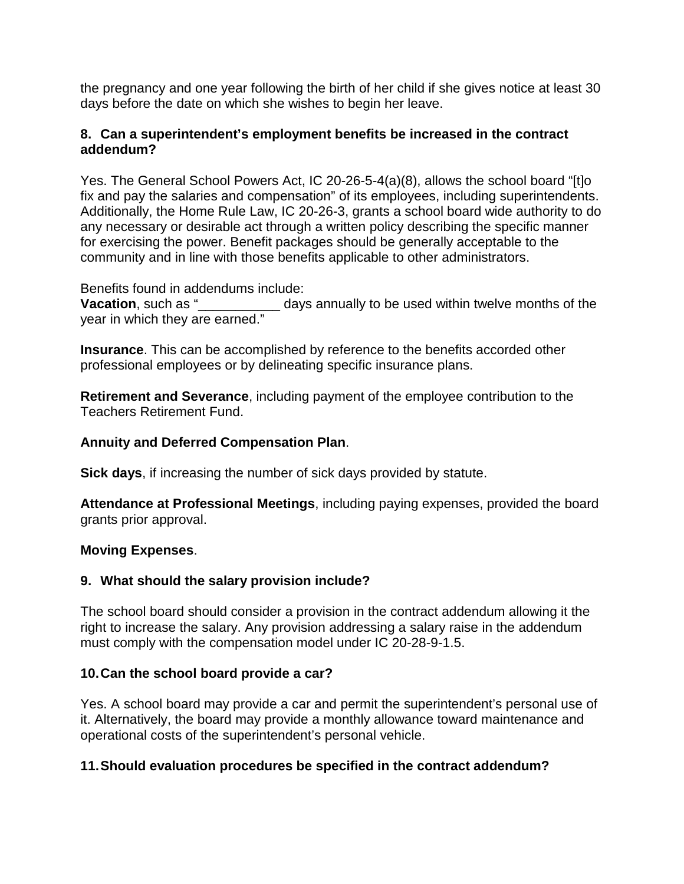the pregnancy and one year following the birth of her child if she gives notice at least 30 days before the date on which she wishes to begin her leave.

#### **8. Can a superintendent's employment benefits be increased in the contract addendum?**

Yes. The General School Powers Act, IC 20-26-5-4(a)(8), allows the school board "[t]o fix and pay the salaries and compensation" of its employees, including superintendents. Additionally, the Home Rule Law, IC 20-26-3, grants a school board wide authority to do any necessary or desirable act through a written policy describing the specific manner for exercising the power. Benefit packages should be generally acceptable to the community and in line with those benefits applicable to other administrators.

Benefits found in addendums include: **Vacation**, such as "\_\_\_\_\_\_\_\_\_\_\_\_\_\_\_\_ days annually to be used within twelve months of the year in which they are earned."

**Insurance**. This can be accomplished by reference to the benefits accorded other professional employees or by delineating specific insurance plans.

**Retirement and Severance**, including payment of the employee contribution to the Teachers Retirement Fund.

# **Annuity and Deferred Compensation Plan**.

**Sick days**, if increasing the number of sick days provided by statute.

**Attendance at Professional Meetings**, including paying expenses, provided the board grants prior approval.

# **Moving Expenses**.

# **9. What should the salary provision include?**

The school board should consider a provision in the contract addendum allowing it the right to increase the salary. Any provision addressing a salary raise in the addendum must comply with the compensation model under IC 20-28-9-1.5.

# **10.Can the school board provide a car?**

Yes. A school board may provide a car and permit the superintendent's personal use of it. Alternatively, the board may provide a monthly allowance toward maintenance and operational costs of the superintendent's personal vehicle.

# **11.Should evaluation procedures be specified in the contract addendum?**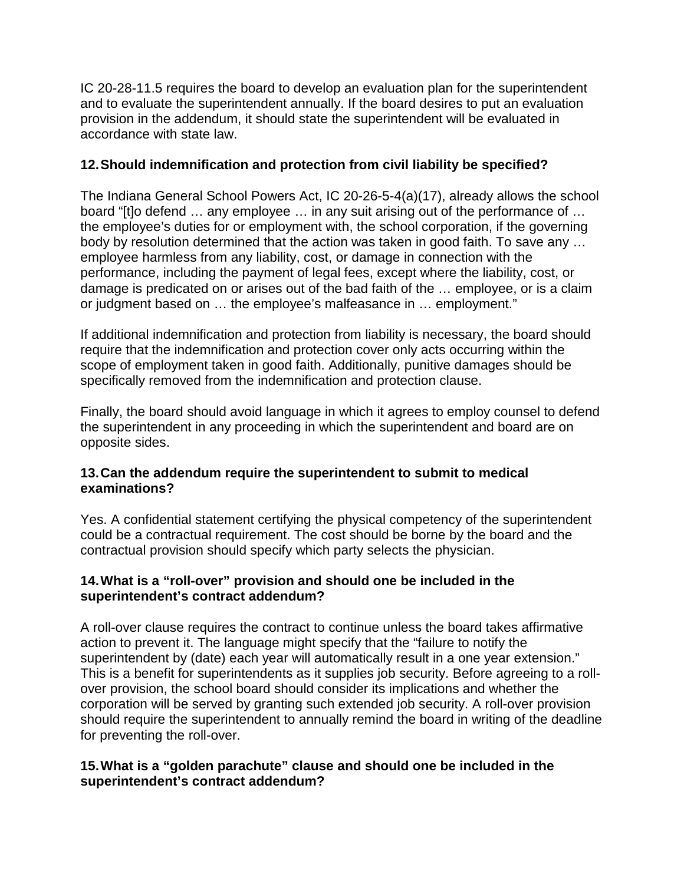IC 20-28-11.5 requires the board to develop an evaluation plan for the superintendent and to evaluate the superintendent annually. If the board desires to put an evaluation provision in the addendum, it should state the superintendent will be evaluated in accordance with state law.

# **12.Should indemnification and protection from civil liability be specified?**

The Indiana General School Powers Act, IC 20-26-5-4(a)(17), already allows the school board "[t]o defend … any employee … in any suit arising out of the performance of … the employee's duties for or employment with, the school corporation, if the governing body by resolution determined that the action was taken in good faith. To save any … employee harmless from any liability, cost, or damage in connection with the performance, including the payment of legal fees, except where the liability, cost, or damage is predicated on or arises out of the bad faith of the … employee, or is a claim or judgment based on … the employee's malfeasance in … employment."

If additional indemnification and protection from liability is necessary, the board should require that the indemnification and protection cover only acts occurring within the scope of employment taken in good faith. Additionally, punitive damages should be specifically removed from the indemnification and protection clause.

Finally, the board should avoid language in which it agrees to employ counsel to defend the superintendent in any proceeding in which the superintendent and board are on opposite sides.

#### **13.Can the addendum require the superintendent to submit to medical examinations?**

Yes. A confidential statement certifying the physical competency of the superintendent could be a contractual requirement. The cost should be borne by the board and the contractual provision should specify which party selects the physician.

#### **14.What is a "roll-over" provision and should one be included in the superintendent's contract addendum?**

A roll-over clause requires the contract to continue unless the board takes affirmative action to prevent it. The language might specify that the "failure to notify the superintendent by (date) each year will automatically result in a one year extension." This is a benefit for superintendents as it supplies job security. Before agreeing to a rollover provision, the school board should consider its implications and whether the corporation will be served by granting such extended job security. A roll-over provision should require the superintendent to annually remind the board in writing of the deadline for preventing the roll-over.

#### **15.What is a "golden parachute" clause and should one be included in the superintendent's contract addendum?**